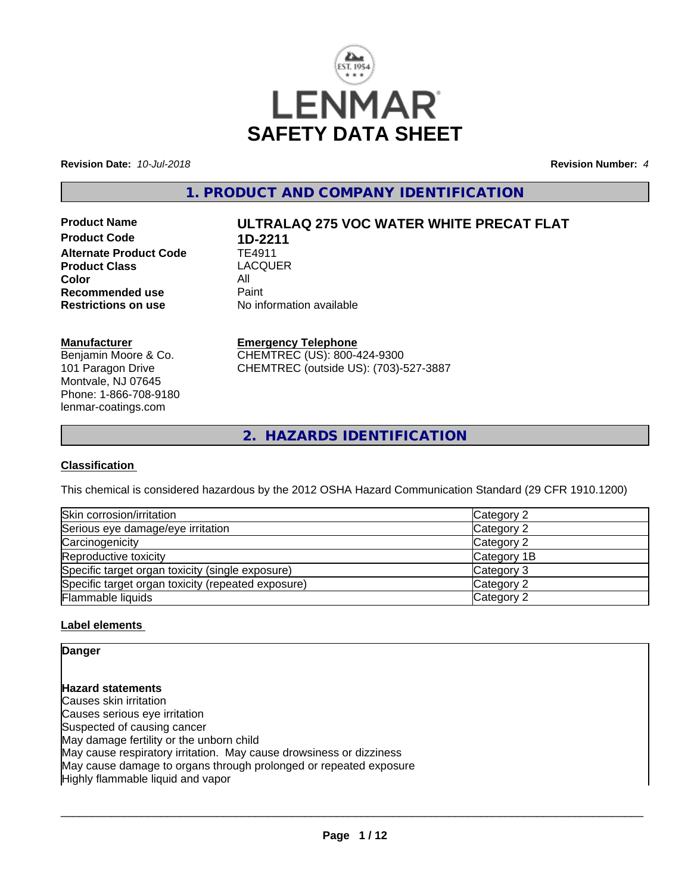

**Revision Date:** *10-Jul-2018* **Revision Number:** *4*

**1. PRODUCT AND COMPANY IDENTIFICATION**

**Product Code 1D-2211**<br>Alternate Product Code 1E4911 **Alternate Product Code TE4911**<br> **Product Class TEACOUER Product Class** LA<br>Color All **Color** All<br> **Recommended use** Paint **Recommended use**<br>Restrictions on use

# **Product Name ULTRALAQ 275 VOC WATER WHITE PRECAT FLAT**

**No information available** 

#### **Manufacturer**

Benjamin Moore & Co. 101 Paragon Drive Montvale, NJ 07645 Phone: 1-866-708-9180 lenmar-coatings.com

#### **Emergency Telephone**

CHEMTREC (US): 800-424-9300 CHEMTREC (outside US): (703)-527-3887

**2. HAZARDS IDENTIFICATION**

#### **Classification**

This chemical is considered hazardous by the 2012 OSHA Hazard Communication Standard (29 CFR 1910.1200)

| Skin corrosion/irritation                          | Category 2  |
|----------------------------------------------------|-------------|
| Serious eye damage/eye irritation                  | Category 2  |
| Carcinogenicity                                    | Category 2  |
| Reproductive toxicity                              | Category 1B |
| Specific target organ toxicity (single exposure)   | Category 3  |
| Specific target organ toxicity (repeated exposure) | Category 2  |
| Flammable liquids                                  | Category 2  |

#### **Label elements**

#### **Danger**

**Hazard statements** Causes skin irritation Causes serious eye irritation Suspected of causing cancer May damage fertility or the unborn child May cause respiratory irritation. May cause drowsiness or dizziness May cause damage to organs through prolonged or repeated exposure Highly flammable liquid and vapor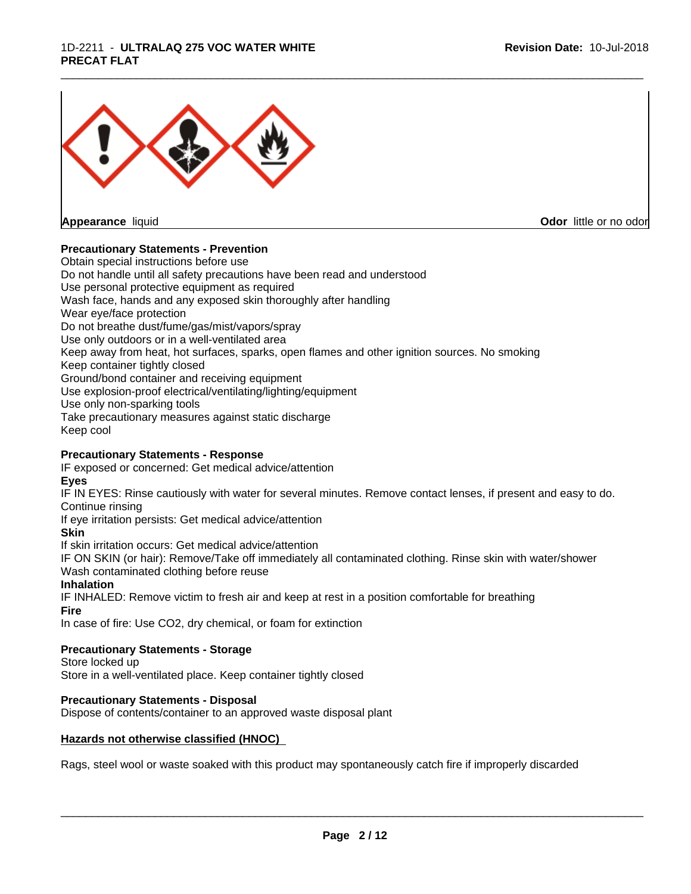#### 1D-2211 - **ULTRALAQ 275 VOC WATER WHITE PRECAT FLAT**



**Appearance** liquid **Contract Contract Contract Contract Contract Contract Contract Contract Contract Contract Contract Contract Contract Contract Contract Contract Contract Contract Contract Contract Contract Contract Con** 

#### **Precautionary Statements - Prevention**

Obtain special instructions before use Do not handle until all safety precautions have been read and understood Use personal protective equipment as required Wash face, hands and any exposed skin thoroughly after handling Wear eye/face protection Do not breathe dust/fume/gas/mist/vapors/spray Use only outdoors or in a well-ventilated area Keep away from heat, hot surfaces, sparks, open flames and other ignition sources. No smoking Keep container tightly closed Ground/bond container and receiving equipment Use explosion-proof electrical/ventilating/lighting/equipment Use only non-sparking tools Take precautionary measures against static discharge Keep cool

#### **Precautionary Statements - Response**

IF exposed or concerned: Get medical advice/attention

**Eyes**

IF IN EYES: Rinse cautiously with water forseveral minutes. Remove contact lenses, if present and easy to do. Continue rinsing

\_\_\_\_\_\_\_\_\_\_\_\_\_\_\_\_\_\_\_\_\_\_\_\_\_\_\_\_\_\_\_\_\_\_\_\_\_\_\_\_\_\_\_\_\_\_\_\_\_\_\_\_\_\_\_\_\_\_\_\_\_\_\_\_\_\_\_\_\_\_\_\_\_\_\_\_\_\_\_\_\_\_\_\_\_\_\_\_\_\_\_\_\_

If eye irritation persists: Get medical advice/attention

#### **Skin**

If skin irritation occurs: Get medical advice/attention

IF ON SKIN (or hair): Remove/Take off immediately all contaminated clothing. Rinse skin with water/shower Wash contaminated clothing before reuse

#### **Inhalation**

IF INHALED: Remove victim to fresh air and keep at rest in a position comfortable for breathing

#### **Fire**

In case of fire: Use CO2, dry chemical, or foam for extinction

#### **Precautionary Statements - Storage**

Store locked up

Store in a well-ventilated place. Keep container tightly closed

#### **Precautionary Statements - Disposal**

Dispose of contents/container to an approved waste disposal plant

#### **Hazards not otherwise classified (HNOC)**

Rags, steel wool or waste soaked with this product may spontaneously catch fire if improperly discarded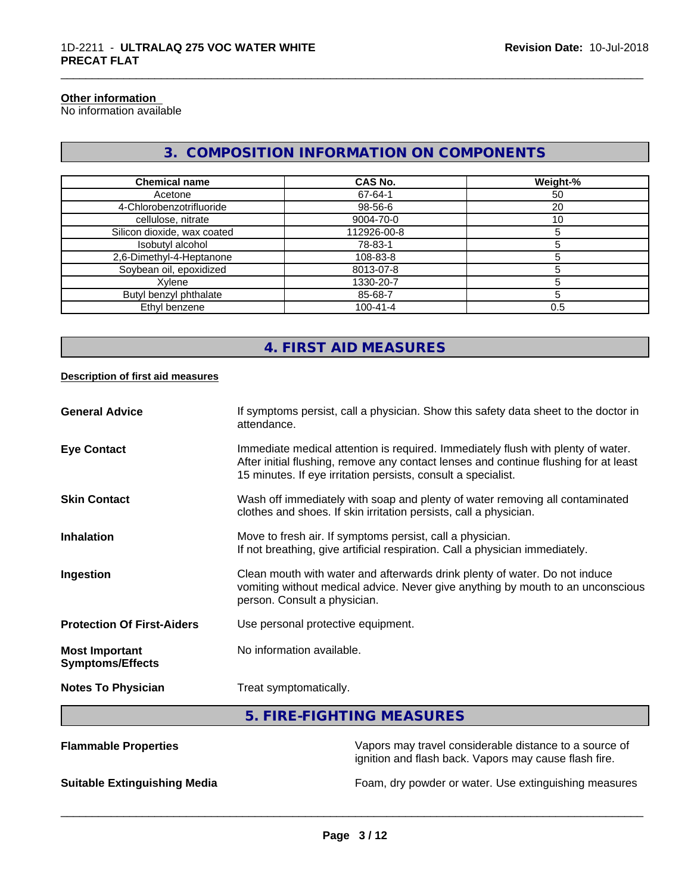### **Other information**

No information available

# **3. COMPOSITION INFORMATION ON COMPONENTS**

\_\_\_\_\_\_\_\_\_\_\_\_\_\_\_\_\_\_\_\_\_\_\_\_\_\_\_\_\_\_\_\_\_\_\_\_\_\_\_\_\_\_\_\_\_\_\_\_\_\_\_\_\_\_\_\_\_\_\_\_\_\_\_\_\_\_\_\_\_\_\_\_\_\_\_\_\_\_\_\_\_\_\_\_\_\_\_\_\_\_\_\_\_

| <b>Chemical name</b>        | CAS No.        | Weight-% |
|-----------------------------|----------------|----------|
| Acetone                     | 67-64-1        | 50       |
| 4-Chlorobenzotrifluoride    | 98-56-6        | 20       |
| cellulose, nitrate          | 9004-70-0      | 10       |
| Silicon dioxide, wax coated | 112926-00-8    |          |
| Isobutyl alcohol            | 78-83-1        |          |
| 2,6-Dimethyl-4-Heptanone    | 108-83-8       |          |
| Soybean oil, epoxidized     | 8013-07-8      |          |
| Xylene                      | 1330-20-7      |          |
| Butyl benzyl phthalate      | 85-68-7        |          |
| Ethyl benzene               | $100 - 41 - 4$ | 0.5      |

# **4. FIRST AID MEASURES**

#### **Description of first aid measures**

| <b>General Advice</b>                            | If symptoms persist, call a physician. Show this safety data sheet to the doctor in<br>attendance.                                                                                                                                        |
|--------------------------------------------------|-------------------------------------------------------------------------------------------------------------------------------------------------------------------------------------------------------------------------------------------|
| <b>Eye Contact</b>                               | Immediate medical attention is required. Immediately flush with plenty of water.<br>After initial flushing, remove any contact lenses and continue flushing for at least<br>15 minutes. If eye irritation persists, consult a specialist. |
| <b>Skin Contact</b>                              | Wash off immediately with soap and plenty of water removing all contaminated<br>clothes and shoes. If skin irritation persists, call a physician.                                                                                         |
| Inhalation                                       | Move to fresh air. If symptoms persist, call a physician.<br>If not breathing, give artificial respiration. Call a physician immediately.                                                                                                 |
| Ingestion                                        | Clean mouth with water and afterwards drink plenty of water. Do not induce<br>vomiting without medical advice. Never give anything by mouth to an unconscious<br>person. Consult a physician.                                             |
| <b>Protection Of First-Aiders</b>                | Use personal protective equipment.                                                                                                                                                                                                        |
| <b>Most Important</b><br><b>Symptoms/Effects</b> | No information available.                                                                                                                                                                                                                 |
| <b>Notes To Physician</b>                        | Treat symptomatically.                                                                                                                                                                                                                    |
|                                                  |                                                                                                                                                                                                                                           |

# **5. FIRE-FIGHTING MEASURES**

| <b>Flammable Properties</b>         | Vapors may travel considerable distance to a source of<br>ignition and flash back. Vapors may cause flash fire. |
|-------------------------------------|-----------------------------------------------------------------------------------------------------------------|
| <b>Suitable Extinguishing Media</b> | Foam, dry powder or water. Use extinguishing measures                                                           |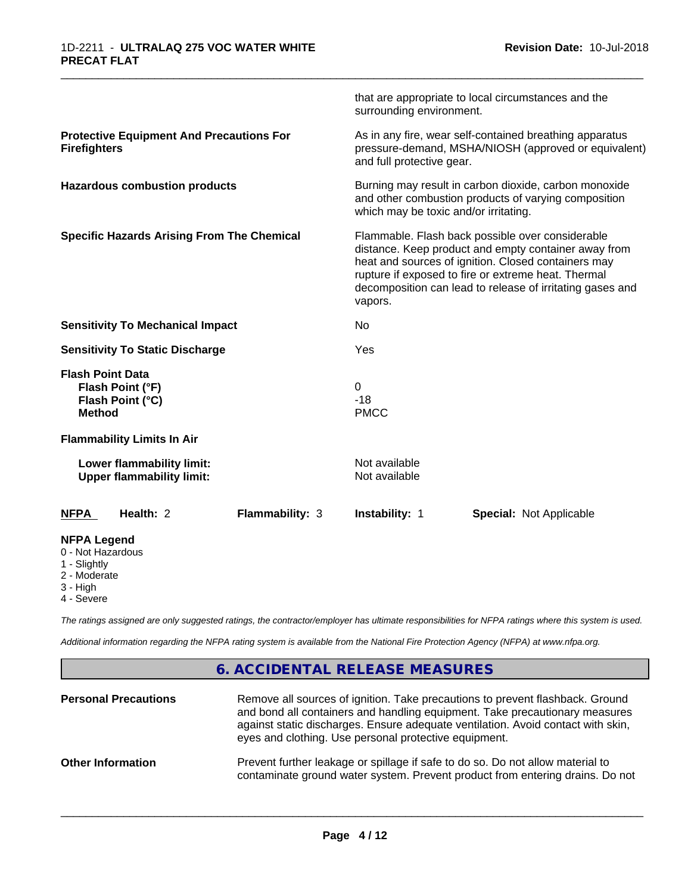|                                                                                     | that are appropriate to local circumstances and the<br>surrounding environment.                                                                                                                                                                                                                |  |  |
|-------------------------------------------------------------------------------------|------------------------------------------------------------------------------------------------------------------------------------------------------------------------------------------------------------------------------------------------------------------------------------------------|--|--|
| <b>Protective Equipment And Precautions For</b><br><b>Firefighters</b>              | As in any fire, wear self-contained breathing apparatus<br>pressure-demand, MSHA/NIOSH (approved or equivalent)<br>and full protective gear.                                                                                                                                                   |  |  |
| <b>Hazardous combustion products</b>                                                | Burning may result in carbon dioxide, carbon monoxide<br>and other combustion products of varying composition<br>which may be toxic and/or irritating.                                                                                                                                         |  |  |
| <b>Specific Hazards Arising From The Chemical</b>                                   | Flammable. Flash back possible over considerable<br>distance. Keep product and empty container away from<br>heat and sources of ignition. Closed containers may<br>rupture if exposed to fire or extreme heat. Thermal<br>decomposition can lead to release of irritating gases and<br>vapors. |  |  |
| <b>Sensitivity To Mechanical Impact</b>                                             | No                                                                                                                                                                                                                                                                                             |  |  |
| <b>Sensitivity To Static Discharge</b>                                              | Yes                                                                                                                                                                                                                                                                                            |  |  |
| <b>Flash Point Data</b><br>Flash Point (°F)<br>Flash Point (°C)<br><b>Method</b>    | 0<br>$-18$<br><b>PMCC</b>                                                                                                                                                                                                                                                                      |  |  |
| <b>Flammability Limits In Air</b>                                                   |                                                                                                                                                                                                                                                                                                |  |  |
| Lower flammability limit:<br><b>Upper flammability limit:</b>                       | Not available<br>Not available                                                                                                                                                                                                                                                                 |  |  |
| Health: 2<br>Flammability: 3<br><b>NFPA</b>                                         | Instability: 1<br><b>Special: Not Applicable</b>                                                                                                                                                                                                                                               |  |  |
| <b>NFPA Legend</b><br>0 - Not Hazardous<br>1 - Slightly<br>2 - Moderate<br>3 - High |                                                                                                                                                                                                                                                                                                |  |  |

\_\_\_\_\_\_\_\_\_\_\_\_\_\_\_\_\_\_\_\_\_\_\_\_\_\_\_\_\_\_\_\_\_\_\_\_\_\_\_\_\_\_\_\_\_\_\_\_\_\_\_\_\_\_\_\_\_\_\_\_\_\_\_\_\_\_\_\_\_\_\_\_\_\_\_\_\_\_\_\_\_\_\_\_\_\_\_\_\_\_\_\_\_

4 - Severe

*The ratings assigned are only suggested ratings, the contractor/employer has ultimate responsibilities for NFPA ratings where this system is used.*

*Additional information regarding the NFPA rating system is available from the National Fire Protection Agency (NFPA) at www.nfpa.org.*

## **6. ACCIDENTAL RELEASE MEASURES**

| <b>Personal Precautions</b> | Remove all sources of ignition. Take precautions to prevent flashback. Ground<br>and bond all containers and handling equipment. Take precautionary measures<br>against static discharges. Ensure adequate ventilation. Avoid contact with skin,<br>eyes and clothing. Use personal protective equipment. |
|-----------------------------|-----------------------------------------------------------------------------------------------------------------------------------------------------------------------------------------------------------------------------------------------------------------------------------------------------------|
| <b>Other Information</b>    | Prevent further leakage or spillage if safe to do so. Do not allow material to<br>contaminate ground water system. Prevent product from entering drains. Do not                                                                                                                                           |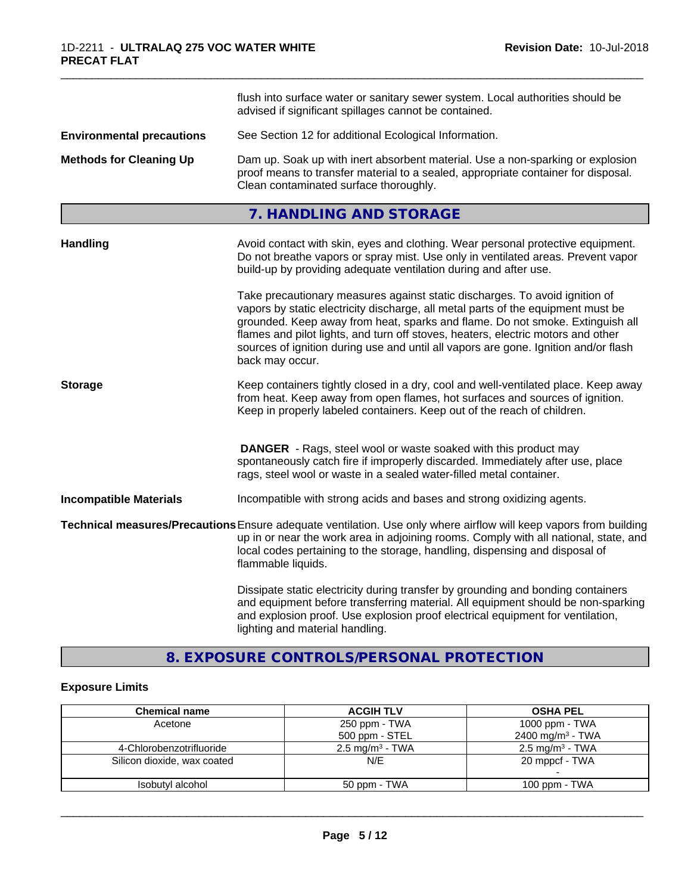|                                                                                                                                                                                                                                                 | flush into surface water or sanitary sewer system. Local authorities should be<br>advised if significant spillages cannot be contained.                                                                                                                                                                                                                                                                                                        |
|-------------------------------------------------------------------------------------------------------------------------------------------------------------------------------------------------------------------------------------------------|------------------------------------------------------------------------------------------------------------------------------------------------------------------------------------------------------------------------------------------------------------------------------------------------------------------------------------------------------------------------------------------------------------------------------------------------|
| <b>Environmental precautions</b>                                                                                                                                                                                                                | See Section 12 for additional Ecological Information.                                                                                                                                                                                                                                                                                                                                                                                          |
| <b>Methods for Cleaning Up</b><br>Dam up. Soak up with inert absorbent material. Use a non-sparking or explosion<br>proof means to transfer material to a sealed, appropriate container for disposal.<br>Clean contaminated surface thoroughly. |                                                                                                                                                                                                                                                                                                                                                                                                                                                |
|                                                                                                                                                                                                                                                 | 7. HANDLING AND STORAGE                                                                                                                                                                                                                                                                                                                                                                                                                        |
| <b>Handling</b>                                                                                                                                                                                                                                 | Avoid contact with skin, eyes and clothing. Wear personal protective equipment.<br>Do not breathe vapors or spray mist. Use only in ventilated areas. Prevent vapor<br>build-up by providing adequate ventilation during and after use.                                                                                                                                                                                                        |
|                                                                                                                                                                                                                                                 | Take precautionary measures against static discharges. To avoid ignition of<br>vapors by static electricity discharge, all metal parts of the equipment must be<br>grounded. Keep away from heat, sparks and flame. Do not smoke. Extinguish all<br>flames and pilot lights, and turn off stoves, heaters, electric motors and other<br>sources of ignition during use and until all vapors are gone. Ignition and/or flash<br>back may occur. |
| <b>Storage</b>                                                                                                                                                                                                                                  | Keep containers tightly closed in a dry, cool and well-ventilated place. Keep away<br>from heat. Keep away from open flames, hot surfaces and sources of ignition.<br>Keep in properly labeled containers. Keep out of the reach of children.                                                                                                                                                                                                  |
|                                                                                                                                                                                                                                                 | <b>DANGER</b> - Rags, steel wool or waste soaked with this product may<br>spontaneously catch fire if improperly discarded. Immediately after use, place<br>rags, steel wool or waste in a sealed water-filled metal container.                                                                                                                                                                                                                |
| <b>Incompatible Materials</b>                                                                                                                                                                                                                   | Incompatible with strong acids and bases and strong oxidizing agents.                                                                                                                                                                                                                                                                                                                                                                          |
|                                                                                                                                                                                                                                                 | Technical measures/Precautions Ensure adequate ventilation. Use only where airflow will keep vapors from building<br>up in or near the work area in adjoining rooms. Comply with all national, state, and<br>local codes pertaining to the storage, handling, dispensing and disposal of<br>flammable liquids.                                                                                                                                 |
|                                                                                                                                                                                                                                                 | Dissipate static electricity during transfer by grounding and bonding containers<br>and equipment before transferring material. All equipment should be non-sparking<br>and explosion proof. Use explosion proof electrical equipment for ventilation,<br>lighting and material handling.                                                                                                                                                      |

# **8. EXPOSURE CONTROLS/PERSONAL PROTECTION**

## **Exposure Limits**

| <b>Chemical name</b>        | <b>ACGIH TLV</b>           | <b>OSHA PEL</b>              |
|-----------------------------|----------------------------|------------------------------|
| Acetone                     | 250 ppm - TWA              | 1000 ppm - TWA               |
|                             | 500 ppm - STEL             | 2400 mg/m <sup>3</sup> - TWA |
| 4-Chlorobenzotrifluoride    | $2.5 \text{ mg/m}^3$ - TWA | $2.5 \text{ mg/m}^3$ - TWA   |
| Silicon dioxide, wax coated | N/E                        | 20 mppcf - TWA               |
|                             |                            |                              |
| Isobutyl alcohol            | 50 ppm - TWA               | 100 ppm $-$ TWA              |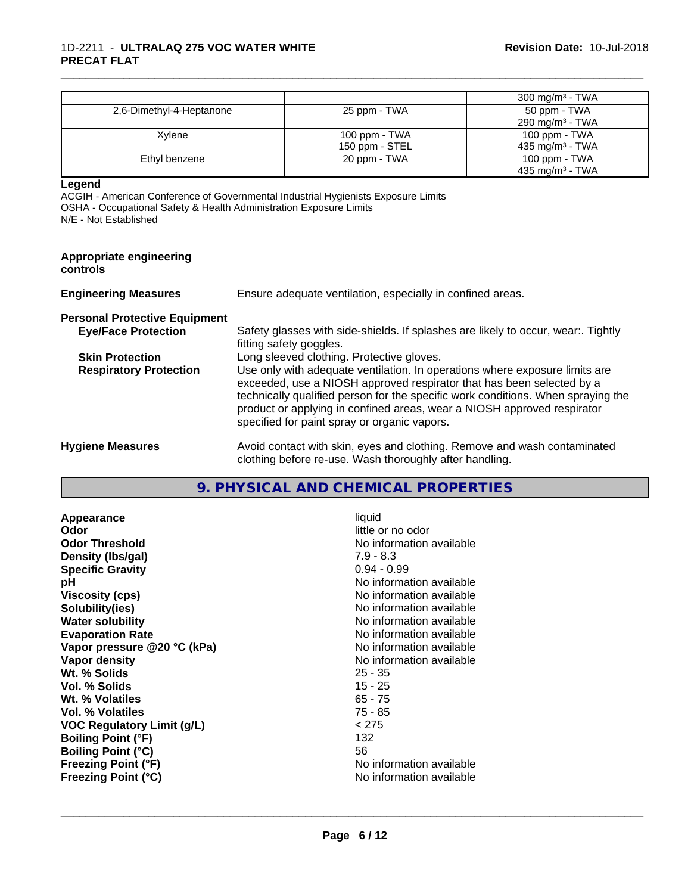|                          |                                 | $300 \text{ mg/m}^3$ - TWA                   |
|--------------------------|---------------------------------|----------------------------------------------|
| 2,6-Dimethyl-4-Heptanone | 25 ppm - TWA                    | 50 ppm - TWA<br>290 mg/m <sup>3</sup> - TWA  |
|                          |                                 |                                              |
| Xylene                   | 100 ppm - TWA<br>150 ppm - STEL | 100 ppm - TWA<br>435 mg/m <sup>3</sup> - TWA |
| Ethyl benzene            | 20 ppm - TWA                    | 100 ppm - TWA                                |
|                          |                                 | 435 mg/m <sup>3</sup> - TWA                  |

\_\_\_\_\_\_\_\_\_\_\_\_\_\_\_\_\_\_\_\_\_\_\_\_\_\_\_\_\_\_\_\_\_\_\_\_\_\_\_\_\_\_\_\_\_\_\_\_\_\_\_\_\_\_\_\_\_\_\_\_\_\_\_\_\_\_\_\_\_\_\_\_\_\_\_\_\_\_\_\_\_\_\_\_\_\_\_\_\_\_\_\_\_

**Legend**

ACGIH - American Conference of Governmental Industrial Hygienists Exposure Limits OSHA - Occupational Safety & Health Administration Exposure Limits N/E - Not Established

| <b>Appropriate engineering</b><br>controls |                                                                                                                                                                                                                                                                                                                                                                     |
|--------------------------------------------|---------------------------------------------------------------------------------------------------------------------------------------------------------------------------------------------------------------------------------------------------------------------------------------------------------------------------------------------------------------------|
| <b>Engineering Measures</b>                | Ensure adequate ventilation, especially in confined areas.                                                                                                                                                                                                                                                                                                          |
| <b>Personal Protective Equipment</b>       |                                                                                                                                                                                                                                                                                                                                                                     |
| <b>Eye/Face Protection</b>                 | Safety glasses with side-shields. If splashes are likely to occur, wear Tightly<br>fitting safety goggles.                                                                                                                                                                                                                                                          |
| <b>Skin Protection</b>                     | Long sleeved clothing. Protective gloves.                                                                                                                                                                                                                                                                                                                           |
| <b>Respiratory Protection</b>              | Use only with adequate ventilation. In operations where exposure limits are<br>exceeded, use a NIOSH approved respirator that has been selected by a<br>technically qualified person for the specific work conditions. When spraying the<br>product or applying in confined areas, wear a NIOSH approved respirator<br>specified for paint spray or organic vapors. |
| <b>Hygiene Measures</b>                    | Avoid contact with skin, eyes and clothing. Remove and wash contaminated<br>clothing before re-use. Wash thoroughly after handling.                                                                                                                                                                                                                                 |

#### **9. PHYSICAL AND CHEMICAL PROPERTIES**

**Appearance** liquid **Odor** little or no odor **Odor Threshold** No information available **Density (lbs/gal)** 7.9 - 8.3 **Specific Gravity** 0.94 - 0.99 **pH** No information available **Viscosity (cps)** No information available **Solubility(ies)** No information available **Water solubility**<br> **Evaporation Rate**<br> **Evaporation Rate**<br> **Evaporation Rate Vapor pressure @20 °C (kPa)** No information available **Vapor density** No information available Wt. % Solids **Vol. % Solids** 15 - 25 **Wt. % Volatiles** 65 - 75 **Vol. % Volatiles** 75 - 85 **VOC Regulatory Limit (g/L)** < 275 **Boiling Point (°F)** 132 **Boiling Point (°C)** 56<br> **Freezing Point (°F)** No **Freezing Point (°C)** No information available

**No information available Freezing Point (°F)** No information available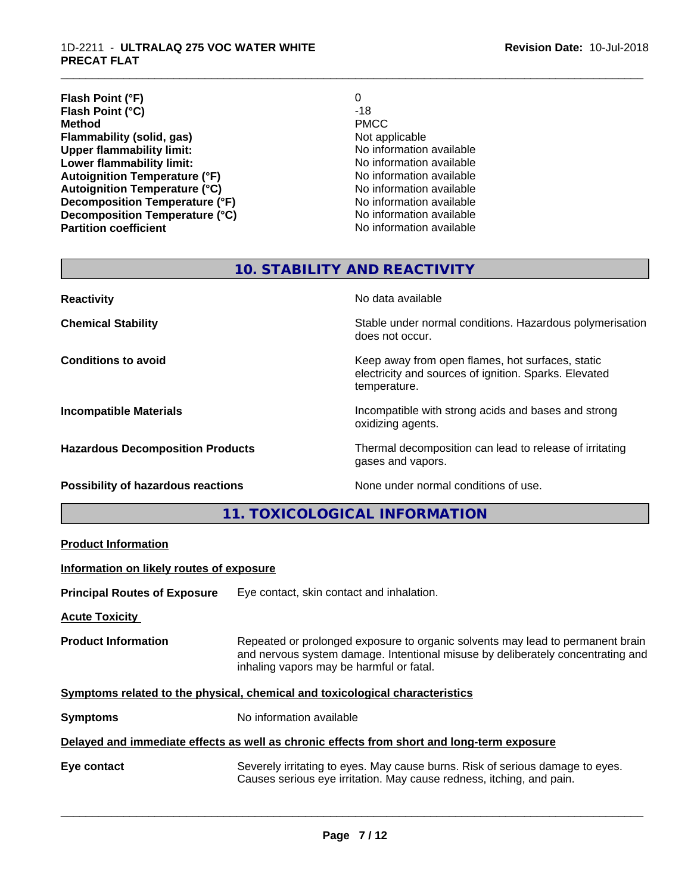#### 1D-2211 - **ULTRALAQ 275 VOC WATER WHITE PRECAT FLAT**

| 0                        |
|--------------------------|
| $-18$                    |
| <b>PMCC</b>              |
| Not applicable           |
| No information available |
| No information available |
| No information available |
| No information available |
| No information available |
| No information available |
| No information available |
|                          |

\_\_\_\_\_\_\_\_\_\_\_\_\_\_\_\_\_\_\_\_\_\_\_\_\_\_\_\_\_\_\_\_\_\_\_\_\_\_\_\_\_\_\_\_\_\_\_\_\_\_\_\_\_\_\_\_\_\_\_\_\_\_\_\_\_\_\_\_\_\_\_\_\_\_\_\_\_\_\_\_\_\_\_\_\_\_\_\_\_\_\_\_\_

# **10. STABILITY AND REACTIVITY**

| <b>Reactivity</b>                       | No data available                                                                                                         |
|-----------------------------------------|---------------------------------------------------------------------------------------------------------------------------|
| <b>Chemical Stability</b>               | Stable under normal conditions. Hazardous polymerisation<br>does not occur.                                               |
| <b>Conditions to avoid</b>              | Keep away from open flames, hot surfaces, static<br>electricity and sources of ignition. Sparks. Elevated<br>temperature. |
| <b>Incompatible Materials</b>           | Incompatible with strong acids and bases and strong<br>oxidizing agents.                                                  |
| <b>Hazardous Decomposition Products</b> | Thermal decomposition can lead to release of irritating<br>gases and vapors.                                              |
| Possibility of hazardous reactions      | None under normal conditions of use.                                                                                      |

# **11. TOXICOLOGICAL INFORMATION**

|                                          | TE TUATUULUUTUAL INI UNIIATTUN                                                                                                                                                                                |
|------------------------------------------|---------------------------------------------------------------------------------------------------------------------------------------------------------------------------------------------------------------|
| <b>Product Information</b>               |                                                                                                                                                                                                               |
| Information on likely routes of exposure |                                                                                                                                                                                                               |
| <b>Principal Routes of Exposure</b>      | Eye contact, skin contact and inhalation.                                                                                                                                                                     |
| <b>Acute Toxicity</b>                    |                                                                                                                                                                                                               |
| <b>Product Information</b>               | Repeated or prolonged exposure to organic solvents may lead to permanent brain<br>and nervous system damage. Intentional misuse by deliberately concentrating and<br>inhaling vapors may be harmful or fatal. |
|                                          | Symptoms related to the physical, chemical and toxicological characteristics                                                                                                                                  |
| <b>Symptoms</b>                          | No information available                                                                                                                                                                                      |
|                                          | Delayed and immediate effects as well as chronic effects from short and long-term exposure                                                                                                                    |
| Eye contact                              | Severely irritating to eyes. May cause burns. Risk of serious damage to eyes.<br>Causes serious eye irritation. May cause redness, itching, and pain.                                                         |
|                                          |                                                                                                                                                                                                               |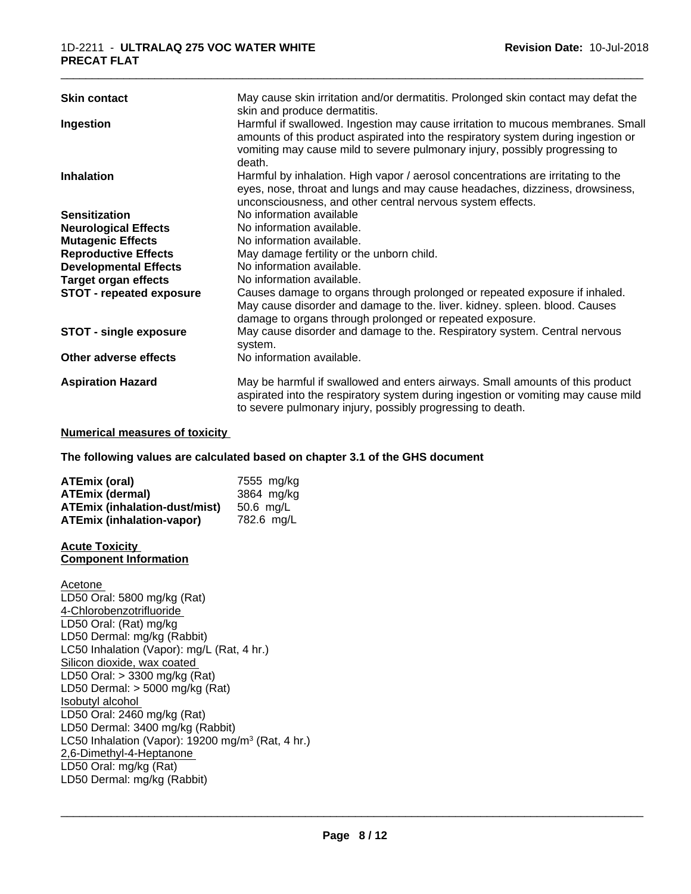| <b>Skin contact</b>             | May cause skin irritation and/or dermatitis. Prolonged skin contact may defat the<br>skin and produce dermatitis.                                                                                                                                             |
|---------------------------------|---------------------------------------------------------------------------------------------------------------------------------------------------------------------------------------------------------------------------------------------------------------|
| Ingestion                       | Harmful if swallowed. Ingestion may cause irritation to mucous membranes. Small<br>amounts of this product aspirated into the respiratory system during ingestion or<br>vomiting may cause mild to severe pulmonary injury, possibly progressing to<br>death. |
| <b>Inhalation</b>               | Harmful by inhalation. High vapor / aerosol concentrations are irritating to the<br>eyes, nose, throat and lungs and may cause headaches, dizziness, drowsiness,<br>unconsciousness, and other central nervous system effects.                                |
| <b>Sensitization</b>            | No information available                                                                                                                                                                                                                                      |
| <b>Neurological Effects</b>     | No information available.                                                                                                                                                                                                                                     |
| <b>Mutagenic Effects</b>        | No information available.                                                                                                                                                                                                                                     |
| <b>Reproductive Effects</b>     | May damage fertility or the unborn child.                                                                                                                                                                                                                     |
| <b>Developmental Effects</b>    | No information available.                                                                                                                                                                                                                                     |
| <b>Target organ effects</b>     | No information available.                                                                                                                                                                                                                                     |
| <b>STOT - repeated exposure</b> | Causes damage to organs through prolonged or repeated exposure if inhaled.<br>May cause disorder and damage to the. liver. kidney. spleen. blood. Causes<br>damage to organs through prolonged or repeated exposure.                                          |
| <b>STOT - single exposure</b>   | May cause disorder and damage to the. Respiratory system. Central nervous<br>system.                                                                                                                                                                          |
| Other adverse effects           | No information available.                                                                                                                                                                                                                                     |
| <b>Aspiration Hazard</b>        | May be harmful if swallowed and enters airways. Small amounts of this product<br>aspirated into the respiratory system during ingestion or vomiting may cause mild<br>to severe pulmonary injury, possibly progressing to death.                              |

#### **Numerical measures of toxicity**

**The following values are calculated based on chapter 3.1 of the GHS document**

| <b>ATEmix (oral)</b>                 | 7555 mg/ka |
|--------------------------------------|------------|
| ATEmix (dermal)                      | 3864 mg/kg |
| <b>ATEmix (inhalation-dust/mist)</b> | 50.6 mg/L  |
| <b>ATEmix (inhalation-vapor)</b>     | 782.6 mg/L |

#### **Acute Toxicity Component Information**

Acetone LD50 Oral: 5800 mg/kg (Rat) 4-Chlorobenzotrifluoride LD50 Oral: (Rat) mg/kg LD50 Dermal: mg/kg (Rabbit) LC50 Inhalation (Vapor): mg/L (Rat, 4 hr.) Silicon dioxide, wax coated LD50 Oral: > 3300 mg/kg (Rat) LD50 Dermal: > 5000 mg/kg (Rat) Isobutyl alcohol LD50 Oral: 2460 mg/kg (Rat) LD50 Dermal: 3400 mg/kg (Rabbit) LC50 Inhalation (Vapor): 19200 mg/m<sup>3</sup> (Rat, 4 hr.) 2,6-Dimethyl-4-Heptanone LD50 Oral: mg/kg (Rat) LD50 Dermal: mg/kg (Rabbit)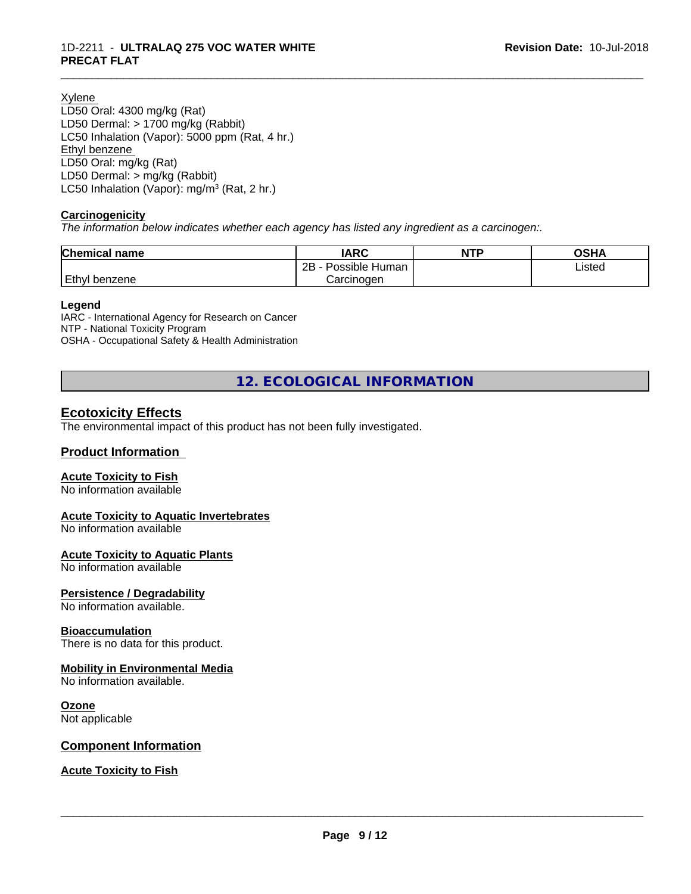Xylene

LD50 Oral: 4300 mg/kg (Rat) LD50 Dermal: > 1700 mg/kg (Rabbit) LC50 Inhalation (Vapor): 5000 ppm (Rat, 4 hr.) Ethyl benzene LD50 Oral: mg/kg (Rat) LD50 Dermal: > mg/kg (Rabbit) LC50 Inhalation (Vapor): mg/m<sup>3</sup> (Rat, 2 hr.)

#### **Carcinogenicity**

*The information below indicateswhether each agency has listed any ingredient as a carcinogen:.*

| Chemical<br>`name    | <b>IARC</b>                  | <b>NTP</b> | <b>OSHA</b> |
|----------------------|------------------------------|------------|-------------|
|                      | .<br>2B<br>Human<br>Possible |            | Listed      |
| <b>Ethyl benzene</b> | Carcinoɑen                   |            |             |

\_\_\_\_\_\_\_\_\_\_\_\_\_\_\_\_\_\_\_\_\_\_\_\_\_\_\_\_\_\_\_\_\_\_\_\_\_\_\_\_\_\_\_\_\_\_\_\_\_\_\_\_\_\_\_\_\_\_\_\_\_\_\_\_\_\_\_\_\_\_\_\_\_\_\_\_\_\_\_\_\_\_\_\_\_\_\_\_\_\_\_\_\_

#### **Legend**

IARC - International Agency for Research on Cancer NTP - National Toxicity Program OSHA - Occupational Safety & Health Administration

**12. ECOLOGICAL INFORMATION**

#### **Ecotoxicity Effects**

The environmental impact of this product has not been fully investigated.

#### **Product Information**

#### **Acute Toxicity to Fish**

No information available

#### **Acute Toxicity to Aquatic Invertebrates**

No information available

#### **Acute Toxicity to Aquatic Plants**

No information available

#### **Persistence / Degradability**

No information available.

#### **Bioaccumulation**

There is no data for this product.

#### **Mobility in Environmental Media**

No information available.

#### **Ozone**

Not applicable

#### **Component Information**

#### **Acute Toxicity to Fish**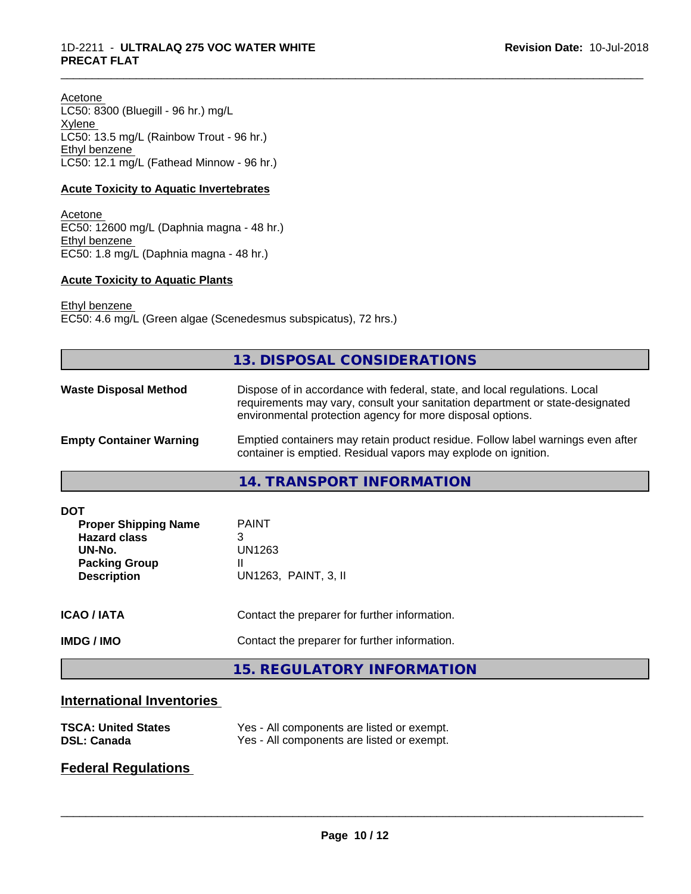Acetone LC50: 8300 (Bluegill - 96 hr.) mg/L Xylene LC50: 13.5 mg/L (Rainbow Trout - 96 hr.) Ethyl benzene LC50: 12.1 mg/L (Fathead Minnow - 96 hr.)

#### **Acute Toxicity to Aquatic Invertebrates**

Acetone EC50: 12600 mg/L (Daphnia magna - 48 hr.) Ethyl benzene EC50: 1.8 mg/L (Daphnia magna - 48 hr.)

#### **Acute Toxicity to Aquatic Plants**

Ethyl benzene EC50: 4.6 mg/L (Green algae (Scenedesmus subspicatus), 72 hrs.)

|                                                                                                                          | <b>13. DISPOSAL CONSIDERATIONS</b>                                                                                                                                                                                        |
|--------------------------------------------------------------------------------------------------------------------------|---------------------------------------------------------------------------------------------------------------------------------------------------------------------------------------------------------------------------|
| <b>Waste Disposal Method</b>                                                                                             | Dispose of in accordance with federal, state, and local regulations. Local<br>requirements may vary, consult your sanitation department or state-designated<br>environmental protection agency for more disposal options. |
| <b>Empty Container Warning</b>                                                                                           | Emptied containers may retain product residue. Follow label warnings even after<br>container is emptied. Residual vapors may explode on ignition.                                                                         |
|                                                                                                                          | 14. TRANSPORT INFORMATION                                                                                                                                                                                                 |
| <b>DOT</b><br><b>Proper Shipping Name</b><br><b>Hazard class</b><br>UN-No.<br><b>Packing Group</b><br><b>Description</b> | <b>PAINT</b><br>3<br><b>UN1263</b><br>UN1263, PAINT, 3, II                                                                                                                                                                |
| <b>ICAO / IATA</b>                                                                                                       | Contact the preparer for further information.                                                                                                                                                                             |
| <b>IMDG / IMO</b>                                                                                                        | Contact the preparer for further information.                                                                                                                                                                             |
|                                                                                                                          | <b>15. REGULATORY INFORMATION</b>                                                                                                                                                                                         |

\_\_\_\_\_\_\_\_\_\_\_\_\_\_\_\_\_\_\_\_\_\_\_\_\_\_\_\_\_\_\_\_\_\_\_\_\_\_\_\_\_\_\_\_\_\_\_\_\_\_\_\_\_\_\_\_\_\_\_\_\_\_\_\_\_\_\_\_\_\_\_\_\_\_\_\_\_\_\_\_\_\_\_\_\_\_\_\_\_\_\_\_\_

# **International Inventories**

| <b>TSCA: United States</b> | Yes - All components are listed or exempt. |
|----------------------------|--------------------------------------------|
| <b>DSL: Canada</b>         | Yes - All components are listed or exempt. |

# **Federal Regulations**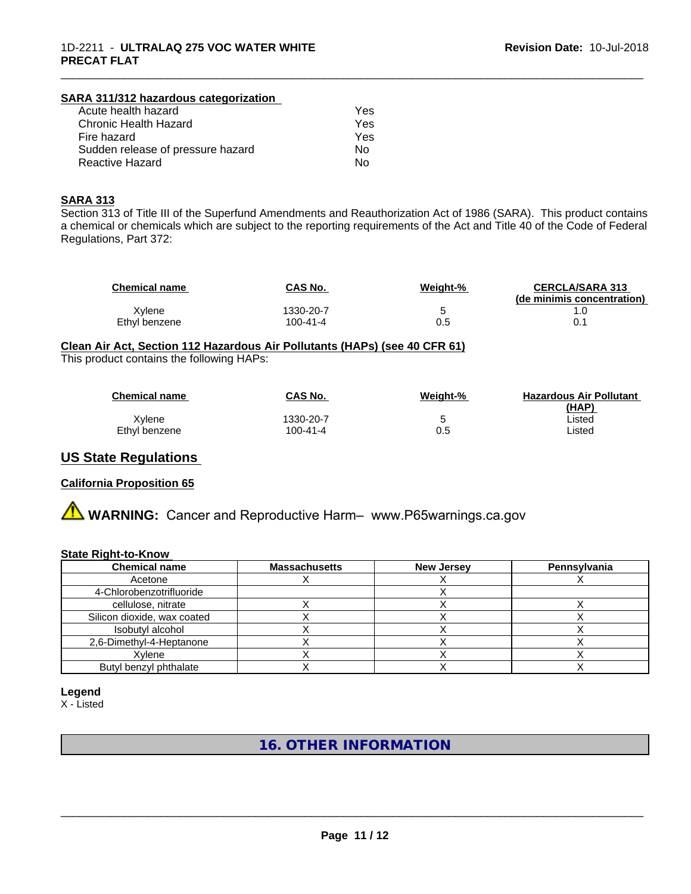#### 1D-2211 - **ULTRALAQ 275 VOC WATER WHITE PRECAT FLAT**

#### **SARA 311/312 hazardous categorization** Acute health hazard<br>Chronic Health Hazard Xes Chronic Health Hazard Fire hazard **Yes** Sudden release of pressure hazard No Reactive Hazard No

#### **SARA 313**

Section 313 of Title III of the Superfund Amendments and Reauthorization Act of 1986 (SARA). This product contains a chemical or chemicals which are subject to the reporting requirements of the Act and Title 40 of the Code of Federal Regulations, Part 372:

| <b>Chemical name</b> | CAS No.   | Weight-% | <b>CERCLA/SARA 313</b><br>(de minimis concentration) |
|----------------------|-----------|----------|------------------------------------------------------|
| Xvlene               | 1330-20-7 |          |                                                      |
| Ethyl benzene        | 100-41-4  | 0.5      | 0.                                                   |

\_\_\_\_\_\_\_\_\_\_\_\_\_\_\_\_\_\_\_\_\_\_\_\_\_\_\_\_\_\_\_\_\_\_\_\_\_\_\_\_\_\_\_\_\_\_\_\_\_\_\_\_\_\_\_\_\_\_\_\_\_\_\_\_\_\_\_\_\_\_\_\_\_\_\_\_\_\_\_\_\_\_\_\_\_\_\_\_\_\_\_\_\_

#### **Clean Air Act,Section 112 Hazardous Air Pollutants (HAPs) (see 40 CFR 61)**

This product contains the following HAPs:

| <b>Chemical name</b> | CAS No.   | Weight-% | <b>Hazardous Air Pollutant</b><br>(HAP) |
|----------------------|-----------|----------|-----------------------------------------|
| Xvlene               | 1330-20-7 |          | Listed                                  |
| Ethvl benzene        | 100-41-4  | 0.5      | ∟isted                                  |

#### **US State Regulations**

#### **California Proposition 65**

**A WARNING:** Cancer and Reproductive Harm– www.P65warnings.ca.gov

#### **State Right-to-Know**

| <b>Chemical name</b>        | <b>Massachusetts</b> | <b>New Jersey</b> | Pennsylvania |
|-----------------------------|----------------------|-------------------|--------------|
| Acetone                     |                      |                   |              |
| 4-Chlorobenzotrifluoride    |                      |                   |              |
| cellulose, nitrate          |                      |                   |              |
| Silicon dioxide, wax coated |                      |                   |              |
| Isobutyl alcohol            |                      |                   |              |
| 2,6-Dimethyl-4-Heptanone    |                      |                   |              |
| Xylene                      |                      |                   |              |
| Butyl benzyl phthalate      |                      |                   |              |

#### **Legend**

X - Listed

**16. OTHER INFORMATION**